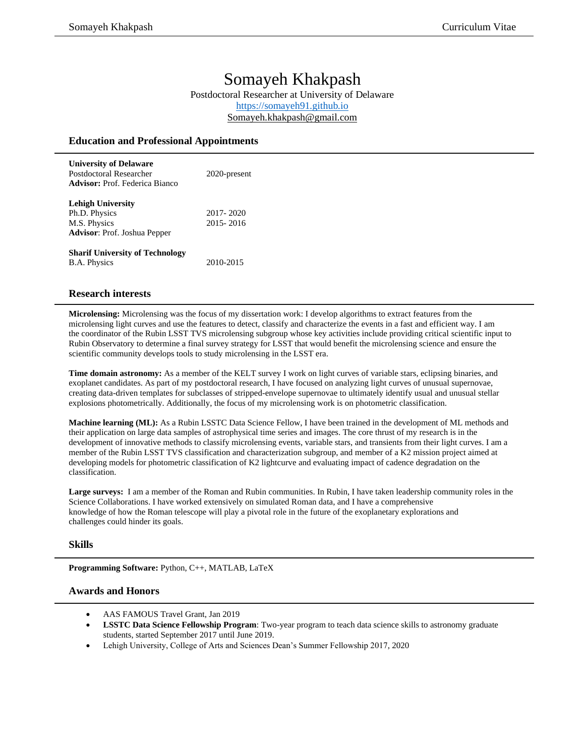# Somayeh Khakpash

Postdoctoral Researcher at University of Delaware [https://somayeh91.github.io](https://somayeh91.github.io/) [Somayeh.khakpash@gmail.com](mailto:Somayeh.khakpash@gmail.com)

#### **Education and Professional Appointments**

| <b>University of Delaware</b><br>Postdoctoral Researcher<br><b>Advisor:</b> Prof. Federica Bianco | 2020-present           |
|---------------------------------------------------------------------------------------------------|------------------------|
| <b>Lehigh University</b><br>Ph.D. Physics<br>M.S. Physics<br><b>Advisor:</b> Prof. Joshua Pepper  | 2017-2020<br>2015-2016 |
| <b>Sharif University of Technology</b><br><b>B.A. Physics</b>                                     | 2010-2015              |

## **Research interests**

**Microlensing:** Microlensing was the focus of my dissertation work: I develop algorithms to extract features from the microlensing light curves and use the features to detect, classify and characterize the events in a fast and efficient way. I am the coordinator of the Rubin LSST TVS microlensing subgroup whose key activities include providing critical scientific input to Rubin Observatory to determine a final survey strategy for LSST that would benefit the microlensing science and ensure the scientific community develops tools to study microlensing in the LSST era.

**Time domain astronomy:** As a member of the KELT survey I work on light curves of variable stars, eclipsing binaries, and exoplanet candidates. As part of my postdoctoral research, I have focused on analyzing light curves of unusual supernovae, creating data-driven templates for subclasses of stripped-envelope supernovae to ultimately identify usual and unusual stellar explosions photometrically. Additionally, the focus of my microlensing work is on photometric classification.

**Machine learning (ML):** As a Rubin LSSTC Data Science Fellow, I have been trained in the development of ML methods and their application on large data samples of astrophysical time series and images. The core thrust of my research is in the development of innovative methods to classify microlensing events, variable stars, and transients from their light curves. I am a member of the Rubin LSST TVS classification and characterization subgroup, and member of a K2 mission project aimed at developing models for photometric classification of K2 lightcurve and evaluating impact of cadence degradation on the classification.

**Large surveys:** I am a member of the Roman and Rubin communities. In Rubin, I have taken leadership community roles in the Science Collaborations. I have worked extensively on simulated Roman data, and I have a comprehensive knowledge of how the Roman telescope will play a pivotal role in the future of the exoplanetary explorations and challenges could hinder its goals.

#### **Skills**

**Programming Software:** Python, C++, MATLAB, LaTeX

#### **Awards and Honors**

- AAS FAMOUS Travel Grant, Jan 2019
- **LSSTC Data Science Fellowship Program**: Two-year program to teach data science skills to astronomy graduate students, started September 2017 until June 2019.
- Lehigh University, College of Arts and Sciences Dean's Summer Fellowship 2017, 2020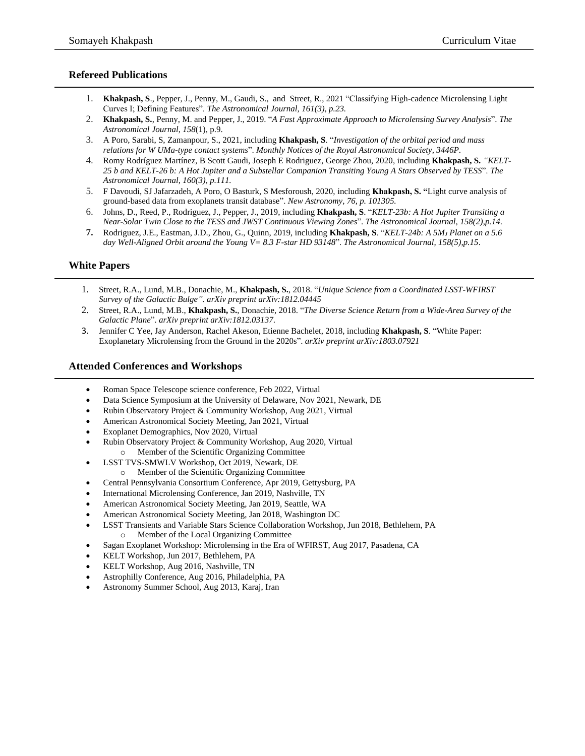## **Refereed Publications**

- 1. **Khakpash, S**., Pepper, J., Penny, M., Gaudi, S., and Street, R., 2021 "Classifying High-cadence Microlensing Light Curves I; Defining Features". *The Astronomical Journal, 161(3), p.23.*
- 2. **Khakpash, S.**, Penny, M. and Pepper, J., 2019. "*A Fast Approximate Approach to Microlensing Survey Analysis*". *The Astronomical Journal*, *158*(1), p.9.
- 3. A Poro, Sarabi, S, Zamanpour, S., 2021, including **Khakpash, S**. "*Investigation of the orbital period and mass relations for W UMa-type contact systems*". *Monthly Notices of the Royal Astronomical Society, 3446P*.
- 4. Romy Rodríguez Martínez, B Scott Gaudi, Joseph E Rodriguez, George Zhou, 2020, including **Khakpash, S.** *["KELT-](https://iopscience.iop.org/article/10.3847/1538-3881/ab9f2d/meta)[25 b and KELT-26 b: A Hot Jupiter and a Substellar Companion Transiting Young A Stars Observed by TESS](https://iopscience.iop.org/article/10.3847/1538-3881/ab9f2d/meta)*". *The Astronomical Journal, 160(3), p.111.*
- 5. F Davoudi, SJ Jafarzadeh, A Poro, O Basturk, S Mesforoush, 2020, including **Khakpash, S. "**[Light curve analysis of](https://www.sciencedirect.com/science/article/pii/S1384107619300508)  [ground-based data from exoplanets transit database"](https://www.sciencedirect.com/science/article/pii/S1384107619300508). *New Astronomy, 76, p. 101305.*
- 6. Johns, D., Reed, P., Rodriguez, J., Pepper, J., 2019, including **Khakpash, S**. "*KELT-23b: A Hot Jupiter Transiting a Near-Solar Twin Close to the TESS and JWST Continuous Viewing Zones*". *The Astronomical Journal, 158(2),p.14*.
- **7.** Rodriguez, J.E., Eastman, J.D., Zhou, G., Quinn, 2019, including **Khakpash, S**. "*KELT-24b: A 5M<sup>J</sup> Planet on a 5.6 day Well-Aligned Orbit around the Young V= 8.3 F-star HD 93148*". *The Astronomical Journal, 158(5),p.15*.

## **White Papers**

- 1. Street, R.A., Lund, M.B., Donachie, M., **Khakpash, S.**, 2018. "*Unique Science from a Coordinated LSST-WFIRST Survey of the Galactic Bulge". arXiv preprint arXiv:1812.04445*
- 2. Street, R.A., Lund, M.B., **Khakpash, S.**, Donachie, 2018. "*The Diverse Science Return from a Wide-Area Survey of the Galactic Plane*". *arXiv preprint arXiv:1812.03137*.
- 3. Jennifer C Yee, Jay Anderson, Rachel Akeson, Etienne Bachelet, 2018, including **Khakpash, S**. ["White Paper:](https://arxiv.org/abs/1803.07921)  [Exoplanetary Microlensing from the Ground in the 2020s"](https://arxiv.org/abs/1803.07921). *arXiv preprint arXiv:1803.07921*

#### **Attended Conferences and Workshops**

- Roman Space Telescope science conference, Feb 2022, Virtual
- Data Science Symposium at the University of Delaware, Nov 2021, Newark, DE
- Rubin Observatory Project & Community Workshop, Aug 2021, Virtual
- American Astronomical Society Meeting, Jan 2021, Virtual
- Exoplanet Demographics, Nov 2020, Virtual
- Rubin Observatory Project & Community Workshop, Aug 2020, Virtual o Member of the Scientific Organizing Committee
- LSST TVS-SMWLV Workshop, Oct 2019, Newark, DE
	- o Member of the Scientific Organizing Committee
- Central Pennsylvania Consortium Conference, Apr 2019, Gettysburg, PA
- International Microlensing Conference, Jan 2019, Nashville, TN
- American Astronomical Society Meeting, Jan 2019, Seattle, WA
- American Astronomical Society Meeting, Jan 2018, Washington DC
- LSST Transients and Variable Stars Science Collaboration Workshop, Jun 2018, Bethlehem, PA o Member of the Local Organizing Committee
- Sagan Exoplanet Workshop: Microlensing in the Era of WFIRST, Aug 2017, Pasadena, CA
- KELT Workshop, Jun 2017, Bethlehem, PA
- KELT Workshop, Aug 2016, Nashville, TN
- Astrophilly Conference, Aug 2016, Philadelphia, PA
- Astronomy Summer School, Aug 2013, Karaj, Iran